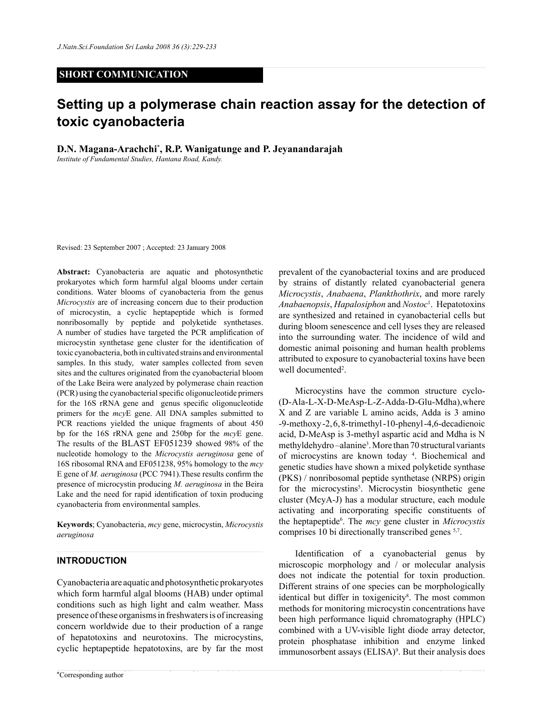## **SHORT COMMUNICATION**

# **Setting up a polymerase chain reaction assay for the detection of toxic cyanobacteria**

**D.N. Magana-Arachchi\* , R.P. Wanigatunge and P. Jeyanandarajah**

*Institute of Fundamental Studies, Hantana Road, Kandy.*

Revised: 23 September 2007 ; Accepted: 23 January 2008

**Abstract:** Cyanobacteria are aquatic and photosynthetic prokaryotes which form harmful algal blooms under certain conditions. Water blooms of cyanobacteria from the genus *Microcystis* are of increasing concern due to their production of microcystin, a cyclic heptapeptide which is formed nonribosomally by peptide and polyketide synthetases. A number of studies have targeted the PCR amplification of microcystin synthetase gene cluster for the identification of toxic cyanobacteria, both in cultivated strains and environmental samples. In this study, water samples collected from seven sites and the cultures originated from the cyanobacterial bloom of the Lake Beira were analyzed by polymerase chain reaction (PCR) using the cyanobacterial specific oligonucleotide primers for the 16S rRNA gene and genus specific oligonucleotide primers for the *mcy*E gene. All DNA samples submitted to PCR reactions yielded the unique fragments of about 450 bp for the 16S rRNA gene and 250bp for the *mcy*E gene. The results of the BLAST EF051239 showed 98% of the nucleotide homology to the *Microcystis aeruginosa* gene of 16S ribosomal RNA and EF051238, 95% homology to the *mcy* E gene of *M. aeruginosa* (PCC 7941).These results confirm the presence of microcystin producing *M. aeruginosa* in the Beira Lake and the need for rapid identification of toxin producing cyanobacteria from environmental samples.

**Keywords**; Cyanobacteria, *mcy* gene, microcystin, *Microcystis aeruginosa* 

## **Introduction**

Cyanobacteria are aquatic and photosynthetic prokaryotes which form harmful algal blooms (HAB) under optimal conditions such as high light and calm weather. Mass presence of these organisms in freshwaters is of increasing concern worldwide due to their production of a range of hepatotoxins and neurotoxins. The microcystins, cyclic heptapeptide hepatotoxins, are by far the most

prevalent of the cyanobacterial toxins and are produced by strains of distantly related cyanobacterial genera *Microcystis*, *Anabaena*, *Plankthothrix*, and more rarely *Anabaenopsis*, *Hapalosiphon* and *Nostoc*<sup>1</sup> . Hepatotoxins are synthesized and retained in cyanobacterial cells but during bloom senescence and cell lyses they are released into the surrounding water. The incidence of wild and domestic animal poisoning and human health problems attributed to exposure to cyanobacterial toxins have been well documented<sup>2</sup>.

Microcystins have the common structure cyclo- (D-Ala-L-X-D-MeAsp-L-Z-Adda-D-Glu-Mdha),where X and Z are variable L amino acids, Adda is 3 amino -9-methoxy -2, 6, 8-trimethyl -10-phenyl -4,6-decadienoic acid, D-MeAsp is 3-methyl aspartic acid and Mdha is N methyldehydro-alanine<sup>3</sup>. More than 70 structural variants of microcystins are known today 4 . Biochemical and genetic studies have shown a mixed polyketide synthase (PKS) / nonribosomal peptide synthetase (NRPS) origin for the microcystins<sup>5</sup>. Microcystin biosynthetic gene cluster (McyA-J) has a modular structure, each module activating and incorporating specific constituents of the heptapeptide6 . The *mcy* gene cluster in *Microcystis*  comprises 10 bi directionally transcribed genes 5,7.

Identification of a cyanobacterial genus by microscopic morphology and / or molecular analysis does not indicate the potential for toxin production. Different strains of one species can be morphologically identical but differ in toxigenicity<sup>8</sup>. The most common methods for monitoring microcystin concentrations have been high performance liquid chromatography (HPLC) combined with a UV-visible light diode array detector, protein phosphatase inhibition and enzyme linked  $immunosor bent$  assays  $(ELISA)^9$ . But their analysis does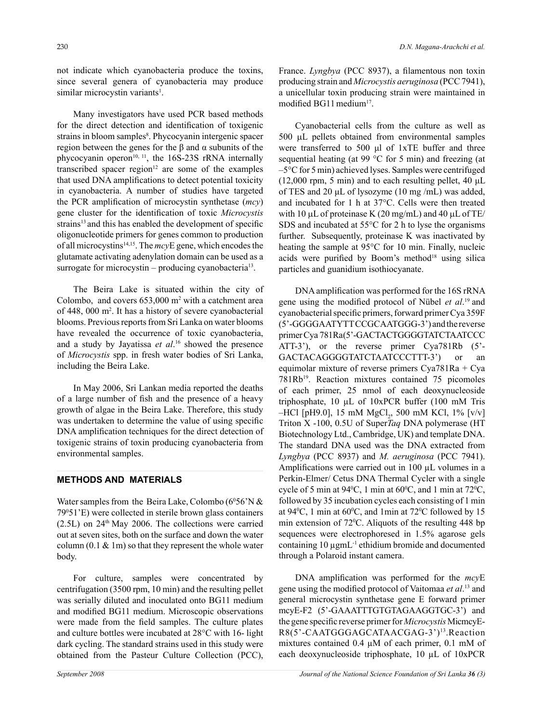not indicate which cyanobacteria produce the toxins, since several genera of cyanobacteria may produce similar microcystin variants<sup>1</sup>.

Many investigators have used PCR based methods for the direct detection and identification of toxigenic strains in bloom samples<sup>8</sup>. Phycocyanin intergenic spacer region between the genes for the β and α subunits of the phycocyanin operon<sup>10, 11</sup>, the 16S-23S rRNA internally transcribed spacer region<sup>12</sup> are some of the examples that used DNA amplifications to detect potential toxicity in cyanobacteria. A number of studies have targeted the PCR amplification of microcystin synthetase (*mcy*) gene cluster for the identification of toxic *Microcystis* strains<sup>13</sup> and this has enabled the development of specific oligonucleotide primers for genes common to production of all microcystins14,15. The *mcy*E gene, which encodes the glutamate activating adenylation domain can be used as a surrogate for microcystin – producing cyanobacteria<sup>13</sup>.

The Beira Lake is situated within the city of Colombo, and covers  $653,000$  m<sup>2</sup> with a catchment area of 448, 000 m2 . It has a history of severe cyanobacterial blooms. Previous reports from Sri Lanka on water blooms have revealed the occurrence of toxic cyanobacteria, and a study by Jayatissa *et al*. 16 showed the presence of *Microcystis* spp. in fresh water bodies of Sri Lanka, including the Beira Lake.

In May 2006, Sri Lankan media reported the deaths of a large number of fish and the presence of a heavy growth of algae in the Beira Lake. Therefore, this study was undertaken to determine the value of using specific DNA amplification techniques for the direct detection of toxigenic strains of toxin producing cyanobacteria from environmental samples.

#### **methods and Materials**

Water samples from the Beira Lake, Colombo ( $6^{\circ}56$ 'N & 790 51'E) were collected in sterile brown glass containers  $(2.5L)$  on  $24<sup>th</sup>$  May 2006. The collections were carried out at seven sites, both on the surface and down the water column  $(0.1 \& 1m)$  so that they represent the whole water body.

For culture, samples were concentrated by centrifugation (3500 rpm, 10 min) and the resulting pellet was serially diluted and inoculated onto BG11 medium and modified BG11 medium. Microscopic observations were made from the field samples. The culture plates and culture bottles were incubated at 28°C with 16- light dark cycling. The standard strains used in this study were obtained from the Pasteur Culture Collection (PCC),

France. *Lyngbya* (PCC 8937), a filamentous non toxin producing strain and *Microcystis aeruginosa* (PCC 7941), a unicellular toxin producing strain were maintained in modified BG11 medium<sup>17</sup>.

Cyanobacterial cells from the culture as well as 500 µL pellets obtained from environmental samples were transferred to 500 μl of 1xTE buffer and three sequential heating (at 99 °C for 5 min) and freezing (at –5°C for 5 min) achieved lyses. Samples were centrifuged  $(12,000 \text{ rpm}, 5 \text{ min})$  and to each resulting pellet, 40  $\mu$ L of TES and 20 μL of lysozyme (10 mg /mL) was added, and incubated for 1 h at 37°C. Cells were then treated with 10  $\mu$ L of proteinase K (20 mg/mL) and 40  $\mu$ L of TE/ SDS and incubated at 55°C for 2 h to lyse the organisms further. Subsequently, proteinase K was inactivated by heating the sample at 95°C for 10 min. Finally, nucleic acids were purified by Boom's method $18$  using silica particles and guanidium isothiocyanate.

DNA amplification was performed for the 16S rRNA gene using the modified protocol of Nübel *et al*. 19 and cyanobacterial specific primers, forward primer Cya 359F (5'-GGGGAATYTT CCGCAATGGG-3') and the reverse primer Cya 781Ra(5'-GACTACTGGGGTATCTAATCCC ATT-3'), or the reverse primer Cya781Rb (5'- GACTACAGGGGTATCTAATCCCTTT-3') or an equimolar mixture of reverse primers Cya781Ra + Cya 781Rb<sup>19</sup>. Reaction mixtures contained 75 picomoles of each primer, 25 nmol of each deoxynucleoside triphosphate, 10 µL of 10xPCR buffer (100 mM Tris  $-$ HCl [pH9.0], 15 mM MgCl<sub>2</sub>, 500 mM KCl, 1% [v/v] Triton X -100, 0.5U of Super*Taq* DNA polymerase (HT Biotechnology Ltd., Cambridge, UK) and template DNA. The standard DNA used was the DNA extracted from *Lyngbya* (PCC 8937) and *M. aeruginosa* (PCC 7941). Amplifications were carried out in 100 µL volumes in a Perkin-Elmer/ Cetus DNA Thermal Cycler with a single cycle of 5 min at  $94^{\circ}$ C, 1 min at  $60^{\circ}$ C, and 1 min at  $72^{\circ}$ C, followed by 35 incubation cycles each consisting of 1 min at  $94^{\circ}$ C, 1 min at  $60^{\circ}$ C, and 1 min at  $72^{\circ}$ C followed by 15 min extension of  $72^{\circ}$ C. Aliquots of the resulting 448 bp sequences were electrophoresed in 1.5% agarose gels containing 10 µgmL-1 ethidium bromide and documented through a Polaroid instant camera.

DNA amplification was performed for the *mcy*E gene using the modified protocol of Vaitomaa *et al*. 13 and general microcystin synthetase gene E forward primer mcyE-F2 (5'-GAAATTTGTGTAGAAGGTGC-3') and the gene specific reverse primer for *Microcystis* MicmcyE-R8(5'-CAATGGGAGCATAACGAG-3')13.Reaction mixtures contained 0.4 µM of each primer, 0.1 mM of each deoxynucleoside triphosphate, 10 µL of 10xPCR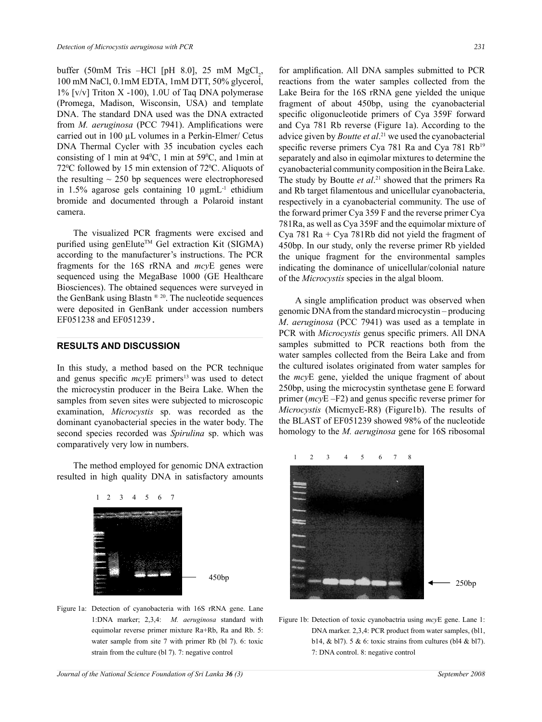buffer (50mM Tris –HCl [pH 8.0], 25 mM  $MgCl_2$ , 100 mM NaCl, 0.1mM EDTA, 1mM DTT, 50% glycerol,  $1\%$  [v/v] Triton X -100), 1.0U of Taq DNA polymerase (Promega, Madison, Wisconsin, USA) and template DNA. The standard DNA used was the DNA extracted from *M. aeruginosa* (PCC 7941). Amplifications were carried out in 100 µL volumes in a Perkin-Elmer/ Cetus DNA Thermal Cycler with 35 incubation cycles each consisting of 1 min at  $94^{\circ}$ C, 1 min at  $59^{\circ}$ C, and 1 min at  $72^{\circ}$ C followed by 15 min extension of  $72^{\circ}$ C. Aliquots of the resulting  $\sim$  250 bp sequences were electrophoresed in 1.5% agarose gels containing 10 µgmL<sup>-1</sup> ethidium bromide and documented through a Polaroid instant camera.

The visualized PCR fragments were excised and purified using genElute™ Gel extraction Kit (SIGMA) according to the manufacturer's instructions. The PCR fragments for the 16S rRNA and *mcy*E genes were sequenced using the MegaBase 1000 (GE Healthcare Biosciences). The obtained sequences were surveyed in the GenBank using Blastn<sup>® 20</sup>. The nucleotide sequences were deposited in GenBank under accession numbers EF051238 and EF051239.

## **Results and Discussion**

In this study, a method based on the PCR technique and genus specific *mcy*E primers<sup>13</sup> was used to detect the microcystin producer in the Beira Lake. When the samples from seven sites were subjected to microscopic examination, *Microcystis* sp. was recorded as the dominant cyanobacterial species in the water body. The second species recorded was *Spirulina* sp. which was comparatively very low in numbers.

The method employed for genomic DNA extraction **Figures**  resulted in high quality DNA in satisfactory amounts



Figure 1a: Detection of cyanobacteria with 16S rRNA gene. Lane 1:DNA marker; 2,3,4: *M. aeruginosa* standard with equimolar reverse primer mixture Ra+Rb, Ra and Rb. 5: water sample from site 7 with primer Rb (bl 7). 6: toxic strain from the culture (bl 7). 7: negative control

450bp

for amplification. All DNA samples submitted to PCR reactions from the water samples collected from the Lake Beira for the 16S rRNA gene yielded the unique fragment of about 450bp, using the cyanobacterial specific oligonucleotide primers of Cya 359F forward and Cya 781 Rb reverse (Figure 1a). According to the advice given by *Boutte et al*. 21 we used the cyanobacterial specific reverse primers Cya 781 Ra and Cya 781 Rb<sup>19</sup> separately and also in eqimolar mixtures to determine the cyanobacterial community composition in the Beira Lake. The study by Boutte *et al*. 21 showed that the primers Ra and Rb target filamentous and unicellular cyanobacteria, respectively in a cyanobacterial community. The use of the forward primer Cya 359 F and the reverse primer Cya 781Ra, as well as Cya 359F and the equimolar mixture of Cya 781 Ra + Cya 781Rb did not yield the fragment of 450bp. In our study, only the reverse primer Rb yielded the unique fragment for the environmental samples indicating the dominance of unicellular/colonial nature of the *Microcystis* species in the algal bloom.

A single amplification product was observed when genomic DNA from the standard microcystin – producing *M*. *aeruginosa* (PCC 7941) was used as a template in PCR with *Microcystis* genus specific primers. All DNA samples submitted to PCR reactions both from the water samples collected from the Beira Lake and from the cultured isolates originated from water samples for the *mcy*E gene, yielded the unique fragment of about 250bp, using the microcystin synthetase gene E forward primer (*mcy*E –F2) and genus specific reverse primer for *Microcystis* (MicmycE-R8) (Figure1b). The results of the BLAST of EF051239 showed 98% of the nucleotide homology to the *M. aeruginosa* gene for 16S ribosomal



Figure 1b: Detection of toxic cyanobactria using *mcy*E gene. Lane 1: DNA marker. 2,3,4: PCR product from water samples, (bl1, b14, & bl7). 5 & 6: toxic strains from cultures (bl4 & bl7). 7: DNA control. 8: negative control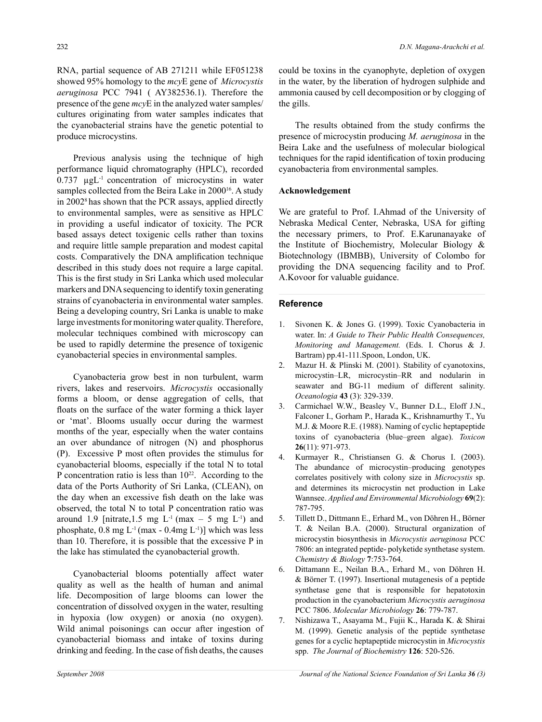RNA, partial sequence of AB 271211 while EF051238 showed 95% homology to the *mcy*E gene of *Microcystis aeruginosa* PCC 7941 ( AY382536.1). Therefore the presence of the gene *mcy*E in the analyzed water samples/ cultures originating from water samples indicates that the cyanobacterial strains have the genetic potential to produce microcystins.

Previous analysis using the technique of high performance liquid chromatography (HPLC), recorded  $0.737$   $\mu$ gL<sup>-1</sup> concentration of microcystins in water samples collected from the Beira Lake in 2000<sup>16</sup>. A study in 20028 has shown that the PCR assays, applied directly to environmental samples, were as sensitive as HPLC in providing a useful indicator of toxicity. The PCR based assays detect toxigenic cells rather than toxins and require little sample preparation and modest capital costs. Comparatively the DNA amplification technique described in this study does not require a large capital. This is the first study in Sri Lanka which used molecular markers and DNA sequencing to identify toxin generating strains of cyanobacteria in environmental water samples. Being a developing country, Sri Lanka is unable to make large investments for monitoring water quality. Therefore, molecular techniques combined with microscopy can be used to rapidly determine the presence of toxigenic cyanobacterial species in environmental samples.

Cyanobacteria grow best in non turbulent, warm rivers, lakes and reservoirs. *Microcystis* occasionally forms a bloom, or dense aggregation of cells, that floats on the surface of the water forming a thick layer or 'mat'. Blooms usually occur during the warmest months of the year, especially when the water contains an over abundance of nitrogen (N) and phosphorus (P). Excessive P most often provides the stimulus for cyanobacterial blooms, especially if the total N to total P concentration ratio is less than  $10^{22}$ . According to the data of the Ports Authority of Sri Lanka, (CLEAN), on the day when an excessive fish death on the lake was observed, the total N to total P concentration ratio was around 1.9 [nitrate, 1.5 mg  $L^{-1}$  (max  $-5$  mg  $L^{-1}$ ) and phosphate,  $0.8 \text{ mg } L^{-1}$  (max -  $0.4 \text{ mg } L^{-1}$ )] which was less than 10. Therefore, it is possible that the excessive P in the lake has stimulated the cyanobacterial growth.

Cyanobacterial blooms potentially affect water quality as well as the health of human and animal life. Decomposition of large blooms can lower the concentration of dissolved oxygen in the water, resulting in hypoxia (low oxygen) or anoxia (no oxygen). Wild animal poisonings can occur after ingestion of cyanobacterial biomass and intake of toxins during drinking and feeding. In the case of fish deaths, the causes could be toxins in the cyanophyte, depletion of oxygen in the water, by the liberation of hydrogen sulphide and ammonia caused by cell decomposition or by clogging of the gills.

The results obtained from the study confirms the presence of microcystin producing *M. aeruginosa* in the Beira Lake and the usefulness of molecular biological techniques for the rapid identification of toxin producing cyanobacteria from environmental samples.

# **Acknowledgement**

We are grateful to Prof. I.Ahmad of the University of Nebraska Medical Center, Nebraska, USA for gifting the necessary primers, to Prof. E.Karunanayake of the Institute of Biochemistry, Molecular Biology & Biotechnology (IBMBB), University of Colombo for providing the DNA sequencing facility and to Prof. A.Kovoor for valuable guidance.

# **Reference**

- 1. Sivonen K. & Jones G. (1999). Toxic Cyanobacteria in water. In: *A Guide to Their Public Health Consequences, Monitoring and Management.* (Eds. I. Chorus & J. Bartram) pp.41-111.Spoon, London, UK.
- 2. Mazur H. & Plinski M. (2001). Stability of cyanotoxins, microcystin–LR, microcystin–RR and nodularin in seawater and BG-11 medium of different salinity. *Oceanologia* **43** (3): 329-339.
- 3. Carmichael W.W., Beasley V., Bunner D.L., Eloff J.N., Falconer I., Gorham P., Harada K., Krishnamurthy T., Yu M.J. & Moore R.E. (1988). Naming of cyclic heptapeptide toxins of cyanobacteria (blue–green algae). *Toxicon* **26**(11): 971-973.
- 4. Kurmayer R., Christiansen G. & Chorus I. (2003). The abundance of microcystin–producing genotypes correlates positively with colony size in *Microcystis* sp. and determines its microcystin net production in Lake Wannsee. *Applied and Environmental Microbiology* **69**(2): 787-795.
- 5. Tillett D., Dittmann E., Erhard M., von Döhren H., Börner T. & Neilan B.A. (2000). Structural organization of microcystin biosynthesis in *Microcystis aeruginosa* PCC 7806: an integrated peptide- polyketide synthetase system. *Chemistry & Biology* **7**:753-764.
- 6. Dittamann E., Neilan B.A., Erhard M., von Döhren H. & Börner T. (1997). Insertional mutagenesis of a peptide synthetase gene that is responsible for hepatotoxin production in the cyanobacterium *Microcystis aeruginosa* PCC 7806. *Molecular Microbiology* **26**: 779-787.
- 7. Nishizawa T., Asayama M., Fujii K., Harada K. & Shirai M. (1999). Genetic analysis of the peptide synthetase genes for a cyclic heptapeptide microcystin in *Microcystis* spp. *The Journal of Biochemistry* **126**: 520-526.